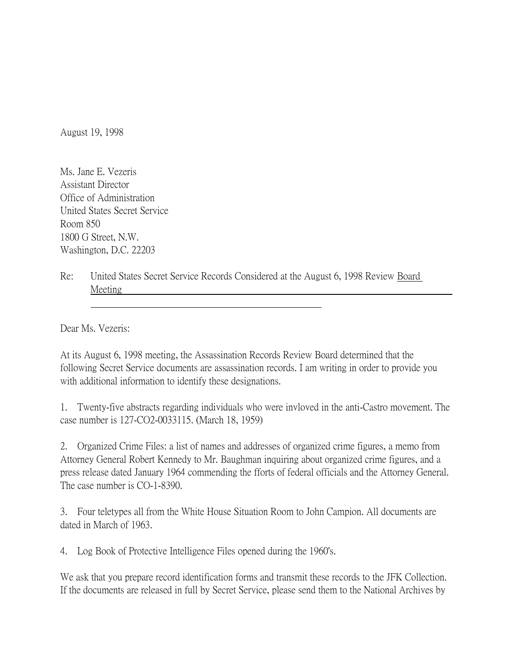August 19, 1998

Ms. Jane E. Vezeris Assistant Director Office of Administration United States Secret Service Room 850 1800 G Street, N.W. Washington, D.C. 22203

Re: United States Secret Service Records Considered at the August 6, 1998 Review Board Meeting

Dear Ms. Vezeris:

At its August 6, 1998 meeting, the Assassination Records Review Board determined that the following Secret Service documents are assassination records. I am writing in order to provide you with additional information to identify these designations.

1. Twenty-five abstracts regarding individuals who were invloved in the anti-Castro movement. The case number is 127-CO2-0033115. (March 18, 1959)

2. Organized Crime Files: a list of names and addresses of organized crime figures, a memo from Attorney General Robert Kennedy to Mr. Baughman inquiring about organized crime figures, and a press release dated January 1964 commending the fforts of federal officials and the Attorney General. The case number is CO-1-8390.

3. Four teletypes all from the White House Situation Room to John Campion. All documents are dated in March of 1963.

4. Log Book of Protective Intelligence Files opened during the 1960's.

We ask that you prepare record identification forms and transmit these records to the JFK Collection. If the documents are released in full by Secret Service, please send them to the National Archives by